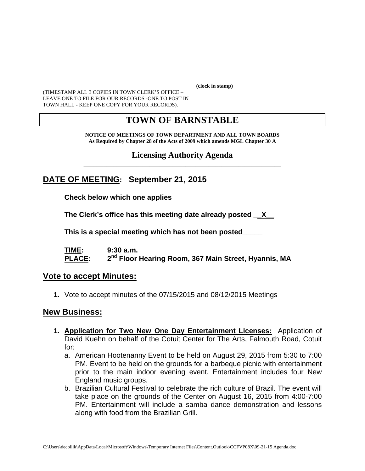**(clock in stamp)** 

(TIMESTAMP ALL 3 COPIES IN TOWN CLERK'S OFFICE – LEAVE ONE TO FILE FOR OUR RECORDS -ONE TO POST IN TOWN HALL - KEEP ONE COPY FOR YOUR RECORDS).

# **TOWN OF BARNSTABLE**

**NOTICE OF MEETINGS OF TOWN DEPARTMENT AND ALL TOWN BOARDS As Required by Chapter 28 of the Acts of 2009 which amends MGL Chapter 30 A** 

**Licensing Authority Agenda** \_\_\_\_\_\_\_\_\_\_\_\_\_\_\_\_\_\_\_\_\_\_\_\_\_\_\_\_\_\_\_\_\_\_\_\_\_\_\_\_\_\_\_\_\_\_\_\_\_\_\_\_\_\_\_\_\_\_\_\_

## **DATE OF MEETING: September 21, 2015**

**Check below which one applies** 

**The Clerk's office has this meeting date already posted \_\_X\_\_**

 **This is a special meeting which has not been posted\_\_\_\_\_** 

**TIME: 9:30 a.m.**  PLACE: 2<sup>nd</sup> Floor Hearing Room, 367 Main Street, Hyannis, MA

#### **Vote to accept Minutes:**

**1.** Vote to accept minutes of the 07/15/2015 and 08/12/2015 Meetings

#### **New Business:**

- **1. Application for Two New One Day Entertainment Licenses:** Application of David Kuehn on behalf of the Cotuit Center for The Arts, Falmouth Road, Cotuit for:
	- a. American Hootenanny Event to be held on August 29, 2015 from 5:30 to 7:00 PM. Event to be held on the grounds for a barbeque picnic with entertainment prior to the main indoor evening event. Entertainment includes four New England music groups.
	- b. Brazilian Cultural Festival to celebrate the rich culture of Brazil. The event will take place on the grounds of the Center on August 16, 2015 from 4:00-7:00 PM. Entertainment will include a samba dance demonstration and lessons along with food from the Brazilian Grill.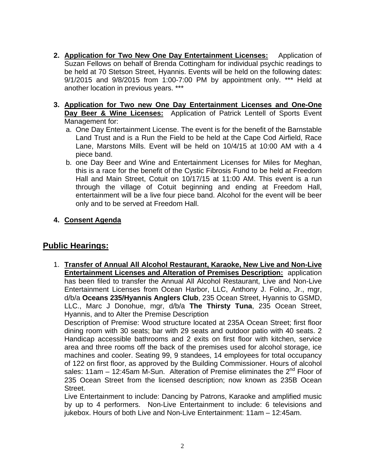- **2. Application for Two New One Day Entertainment Licenses:** Application of Suzan Fellows on behalf of Brenda Cottingham for individual psychic readings to be held at 70 Stetson Street, Hyannis. Events will be held on the following dates: 9/1/2015 and 9/8/2015 from 1:00-7:00 PM by appointment only. \*\*\* Held at another location in previous years. \*\*\*
- **3. Application for Two new One Day Entertainment Licenses and One-One Day Beer & Wine Licenses:** Application of Patrick Lentell of Sports Event Management for:
	- a. One Day Entertainment License. The event is for the benefit of the Barnstable Land Trust and is a Run the Field to be held at the Cape Cod Airfield, Race Lane, Marstons Mills. Event will be held on 10/4/15 at 10:00 AM with a 4 piece band.
	- b. one Day Beer and Wine and Entertainment Licenses for Miles for Meghan, this is a race for the benefit of the Cystic Fibrosis Fund to be held at Freedom Hall and Main Street, Cotuit on 10/17/15 at 11:00 AM. This event is a run through the village of Cotuit beginning and ending at Freedom Hall, entertainment will be a live four piece band. Alcohol for the event will be beer only and to be served at Freedom Hall.
- **4. Consent Agenda**

## **Public Hearings:**

1. **Transfer of Annual All Alcohol Restaurant, Karaoke, New Live and Non-Live Entertainment Licenses and Alteration of Premises Description:** application has been filed to transfer the Annual All Alcohol Restaurant, Live and Non-Live Entertainment Licenses from Ocean Harbor, LLC, Anthony J. Folino, Jr., mgr, d/b/a **Oceans 235/Hyannis Anglers Club**, 235 Ocean Street, Hyannis to GSMD, LLC., Marc J Donohue, mgr, d/b/a **The Thirsty Tuna**, 235 Ocean Street, Hyannis, and to Alter the Premise Description

Description of Premise: Wood structure located at 235A Ocean Street; first floor dining room with 30 seats; bar with 29 seats and outdoor patio with 40 seats. 2 Handicap accessible bathrooms and 2 exits on first floor with kitchen, service area and three rooms off the back of the premises used for alcohol storage, ice machines and cooler. Seating 99, 9 standees, 14 employees for total occupancy of 122 on first floor, as approved by the Building Commissioner. Hours of alcohol sales: 11am  $-$  12:45am M-Sun. Alteration of Premise eliminates the  $2<sup>nd</sup>$  Floor of 235 Ocean Street from the licensed description; now known as 235B Ocean Street.

Live Entertainment to include: Dancing by Patrons, Karaoke and amplified music by up to 4 performers. Non-Live Entertainment to include: 6 televisions and jukebox. Hours of both Live and Non-Live Entertainment: 11am – 12:45am.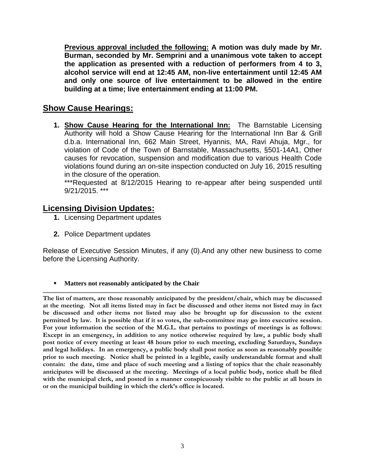**Previous approval included the following: A motion was duly made by Mr. Burman, seconded by Mr. Semprini and a unanimous vote taken to accept the application as presented with a reduction of performers from 4 to 3, alcohol service will end at 12:45 AM, non-live entertainment until 12:45 AM and only one source of live entertainment to be allowed in the entire building at a time; live entertainment ending at 11:00 PM.**

### **Show Cause Hearings:**

**1. Show Cause Hearing for the International Inn:** The Barnstable Licensing Authority will hold a Show Cause Hearing for the International Inn Bar & Grill d.b.a. International Inn, 662 Main Street, Hyannis, MA, Ravi Ahuja, Mgr., for violation of Code of the Town of Barnstable, Massachusetts, §501-14A1, Other causes for revocation, suspension and modification due to various Health Code violations found during an on-site inspection conducted on July 16, 2015 resulting in the closure of the operation.

\*\*\*Requested at 8/12/2015 Hearing to re-appear after being suspended until 9/21/2015. \*\*\*

#### **Licensing Division Updates:**

- **1.** Licensing Department updates
- **2.** Police Department updates

Release of Executive Session Minutes, if any (0).And any other new business to come before the Licensing Authority.

**Matters not reasonably anticipated by the Chair** 

**The list of matters, are those reasonably anticipated by the president/chair, which may be discussed at the meeting. Not all items listed may in fact be discussed and other items not listed may in fact be discussed and other items not listed may also be brought up for discussion to the extent permitted by law. It is possible that if it so votes, the sub-committee may go into executive session. For your information the section of the M.G.L. that pertains to postings of meetings is as follows: Except in an emergency, in addition to any notice otherwise required by law, a public body shall post notice of every meeting at least 48 hours prior to such meeting, excluding Saturdays, Sundays and legal holidays. In an emergency, a public body shall post notice as soon as reasonably possible prior to such meeting. Notice shall be printed in a legible, easily understandable format and shall contain: the date, time and place of such meeting and a listing of topics that the chair reasonably anticipates will be discussed at the meeting. Meetings of a local public body, notice shall be filed with the municipal clerk, and posted in a manner conspicuously visible to the public at all hours in or on the municipal building in which the clerk's office is located.**